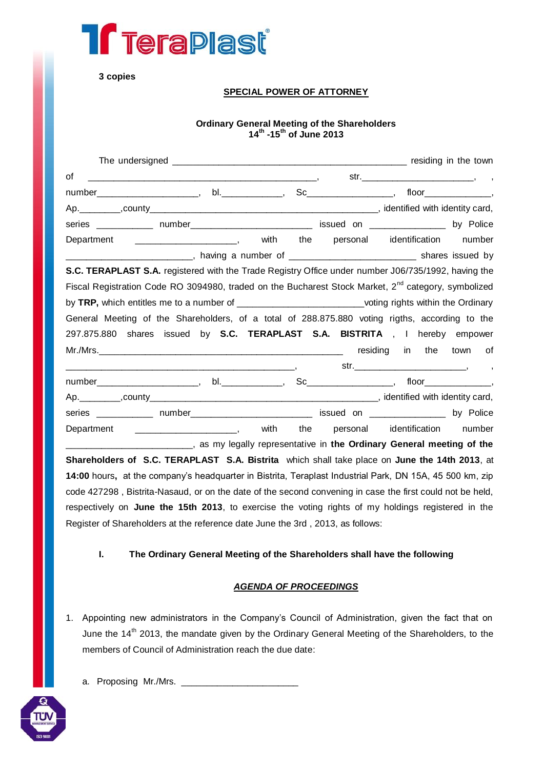

**3 copies**

### **SPECIAL POWER OF ATTORNEY**

#### **Ordinary General Meeting of the Shareholders 14th -15th of June 2013**

| 0f |                                                                                                                 |  |                                  |                          |
|----|-----------------------------------------------------------------------------------------------------------------|--|----------------------------------|--------------------------|
|    | number______________________, bl._____________, Sc__________________, floor________________,                    |  |                                  |                          |
|    |                                                                                                                 |  |                                  |                          |
|    | series _____________ number___________________________ issued on _______________ by Police                      |  |                                  |                          |
|    |                                                                                                                 |  | with the personal identification | number                   |
|    | _________________________________, having a number of __________________________________ shares issued by       |  |                                  |                          |
|    | S.C. TERAPLAST S.A. registered with the Trade Registry Office under number J06/735/1992, having the             |  |                                  |                          |
|    | Fiscal Registration Code RO 3094980, traded on the Bucharest Stock Market, 2 <sup>nd</sup> category, symbolized |  |                                  |                          |
|    | by TRP, which entitles me to a number of ____________________________voting rights within the Ordinary          |  |                                  |                          |
|    | General Meeting of the Shareholders, of a total of 288.875.880 voting rigths, according to the                  |  |                                  |                          |
|    | 297.875.880 shares issued by S.C. TERAPLAST S.A. BISTRITA, I hereby empower                                     |  |                                  |                          |
|    |                                                                                                                 |  |                                  |                          |
|    |                                                                                                                 |  |                                  | $\overline{\phantom{a}}$ |
|    | number______________________, bl._____________, Sc__________________, floor________________,                    |  |                                  |                          |
|    |                                                                                                                 |  |                                  |                          |
|    | series _____________ number___________________________ issued on _______________ by Police                      |  |                                  |                          |
|    | Department _____________________, with the personal identification                                              |  |                                  | number                   |
|    | ______________________________, as my legally representative in the Ordinary General meeting of the             |  |                                  |                          |
|    | Shareholders of S.C. TERAPLAST S.A. Bistrita which shall take place on June the 14th 2013, at                   |  |                                  |                          |
|    | 14:00 hours, at the company's headquarter in Bistrita, Teraplast Industrial Park, DN 15A, 45 500 km, zip        |  |                                  |                          |
|    | code 427298, Bistrita-Nasaud, or on the date of the second convening in case the first could not be held,       |  |                                  |                          |
|    | respectively on June the 15th 2013, to exercise the voting rights of my holdings registered in the              |  |                                  |                          |
|    | Register of Shareholders at the reference date June the 3rd, 2013, as follows:                                  |  |                                  |                          |

**I. The Ordinary General Meeting of the Shareholders shall have the following**

### *AGENDA OF PROCEEDINGS*

1. Appointing new administrators in the Company's Council of Administration, given the fact that on June the 14<sup>th</sup> 2013, the mandate given by the Ordinary General Meeting of the Shareholders, to the members of Council of Administration reach the due date:



a. Proposing Mr./Mrs. \_\_\_\_\_\_\_\_\_\_\_\_\_\_\_\_\_\_\_\_\_\_\_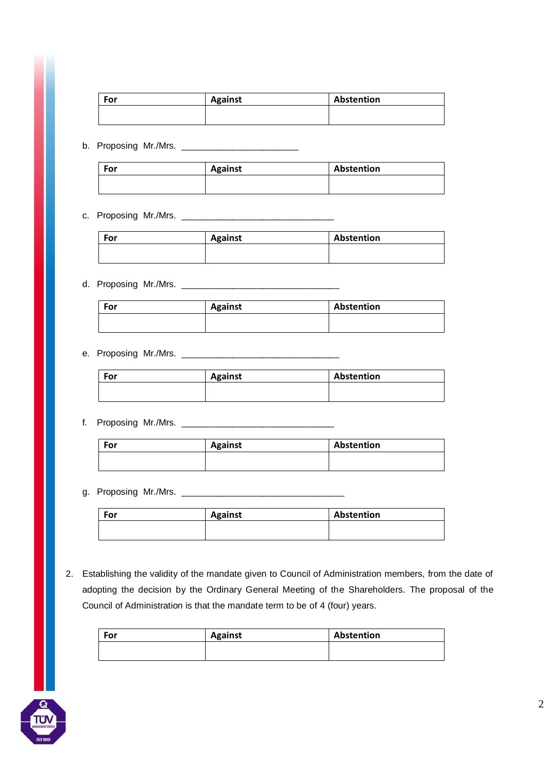| For | <b>Against</b> | Abstention |
|-----|----------------|------------|
|     |                |            |
|     |                |            |

b. Proposing Mr./Mrs. \_\_\_\_\_\_\_\_\_\_\_\_\_\_\_\_\_\_\_\_\_\_\_

| For | <b>Against</b> | Abstention |
|-----|----------------|------------|
|     |                |            |

## c. Proposing Mr./Mrs. \_\_\_\_\_\_\_\_\_\_\_\_\_\_\_\_\_\_\_\_\_\_\_\_\_\_\_\_\_\_

| For | <b>Against</b> | Abstention |
|-----|----------------|------------|
|     |                |            |
|     |                |            |

# d. Proposing Mr./Mrs. \_\_\_\_\_\_\_\_\_\_\_\_\_\_\_\_\_\_\_\_\_\_\_\_\_\_\_\_\_\_\_

| <b>Against</b> | Abstention |
|----------------|------------|
|                |            |
|                |            |

# e. Proposing Mr./Mrs. \_\_\_\_\_\_\_\_\_\_\_\_\_\_\_\_\_\_\_\_\_\_\_\_\_\_\_\_\_\_\_

| For | <b>Against</b> | Abstention |
|-----|----------------|------------|
|     |                |            |

## f. Proposing Mr./Mrs. \_\_\_\_\_\_\_\_\_\_\_\_\_\_\_\_\_\_\_\_\_\_\_\_\_\_\_\_\_\_

| For | <b>Against</b> | Abstention |
|-----|----------------|------------|
|     |                |            |

### g. Proposing Mr./Mrs. \_\_\_\_\_\_\_\_\_\_\_\_\_\_\_\_\_\_\_\_\_\_\_\_\_\_\_\_\_\_\_\_

| For | <b>Against</b> | Abstention |
|-----|----------------|------------|
|     |                |            |

2. Establishing the validity of the mandate given to Council of Administration members, from the date of adopting the decision by the Ordinary General Meeting of the Shareholders. The proposal of the Council of Administration is that the mandate term to be of 4 (four) years.

| For | <b>Against</b> | Abstention |
|-----|----------------|------------|
|     |                |            |
|     |                |            |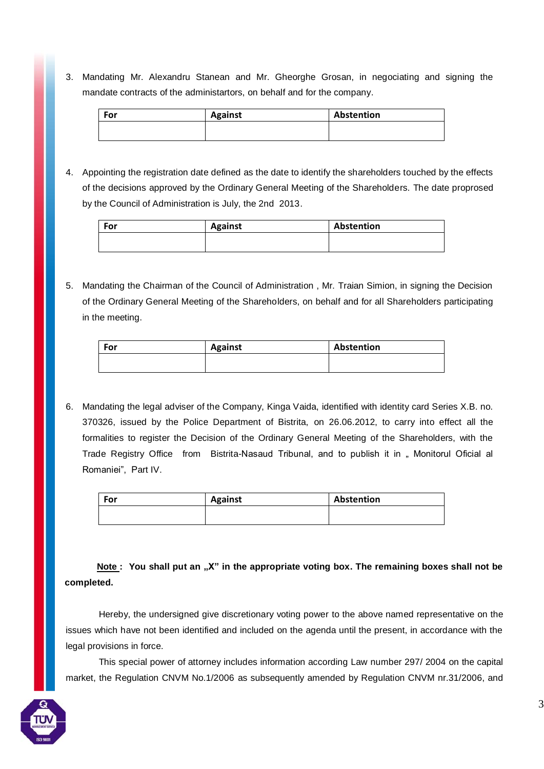3. Mandating Mr. Alexandru Stanean and Mr. Gheorghe Grosan, in negociating and signing the mandate contracts of the administartors, on behalf and for the company.

| For | <b>Against</b> | Abstention |
|-----|----------------|------------|
|     |                |            |

4. Appointing the registration date defined as the date to identify the shareholders touched by the effects of the decisions approved by the Ordinary General Meeting of the Shareholders. The date proprosed by the Council of Administration is July, the 2nd 2013.

| For | <b>Against</b> | Abstention |
|-----|----------------|------------|
|     |                |            |

5. Mandating the Chairman of the Council of Administration , Mr. Traian Simion, in signing the Decision of the Ordinary General Meeting of the Shareholders, on behalf and for all Shareholders participating in the meeting.

| For | <b>Against</b> | Abstention |
|-----|----------------|------------|
|     |                |            |

6. Mandating the legal adviser of the Company, Kinga Vaida, identified with identity card Series X.B. no. 370326, issued by the Police Department of Bistrita, on 26.06.2012, to carry into effect all the formalities to register the Decision of the Ordinary General Meeting of the Shareholders, with the Trade Registry Office from Bistrita-Nasaud Tribunal, and to publish it in " Monitorul Oficial al Romaniei", Part IV.

| For | <b>Against</b> | Abstention |
|-----|----------------|------------|
|     |                |            |

**Note : You shall put an "X" in the appropriate voting box. The remaining boxes shall not be completed.**

Hereby, the undersigned give discretionary voting power to the above named representative on the issues which have not been identified and included on the agenda until the present, in accordance with the legal provisions in force.

This special power of attorney includes information according Law number 297/ 2004 on the capital market, the Regulation CNVM No.1/2006 as subsequently amended by Regulation CNVM nr.31/2006, and